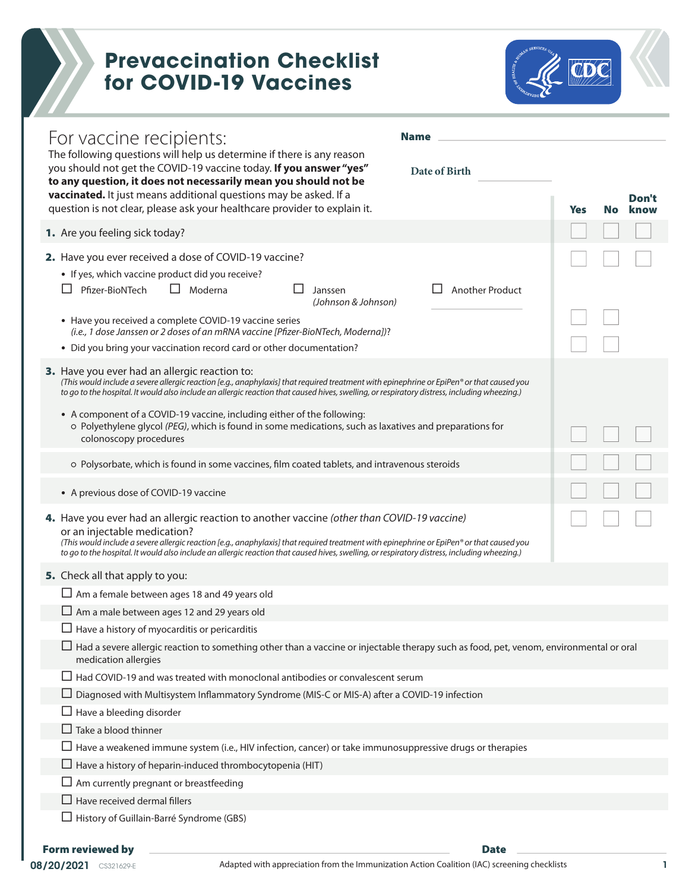## **Prevaccination Checklist for COVID-19 Vaccines**



| For vaccine recipients:<br><b>Name</b><br>The following questions will help us determine if there is any reason<br>you should not get the COVID-19 vaccine today. If you answer "yes"<br>Date of Birth<br>to any question, it does not necessarily mean you should not be<br>vaccinated. It just means additional questions may be asked. If a                                                                                                                                                                                   |     |     | Don't |
|----------------------------------------------------------------------------------------------------------------------------------------------------------------------------------------------------------------------------------------------------------------------------------------------------------------------------------------------------------------------------------------------------------------------------------------------------------------------------------------------------------------------------------|-----|-----|-------|
| question is not clear, please ask your healthcare provider to explain it.                                                                                                                                                                                                                                                                                                                                                                                                                                                        | Yes | No. | know  |
| 1. Are you feeling sick today?                                                                                                                                                                                                                                                                                                                                                                                                                                                                                                   |     |     |       |
| 2. Have you ever received a dose of COVID-19 vaccine?                                                                                                                                                                                                                                                                                                                                                                                                                                                                            |     |     |       |
| • If yes, which vaccine product did you receive?                                                                                                                                                                                                                                                                                                                                                                                                                                                                                 |     |     |       |
| Pfizer-BioNTech<br>Moderna<br>$\Box$<br><b>Another Product</b><br>Janssen<br>(Johnson & Johnson)                                                                                                                                                                                                                                                                                                                                                                                                                                 |     |     |       |
| • Have you received a complete COVID-19 vaccine series                                                                                                                                                                                                                                                                                                                                                                                                                                                                           |     |     |       |
| (i.e., 1 dose Janssen or 2 doses of an mRNA vaccine [Pfizer-BioNTech, Moderna])?                                                                                                                                                                                                                                                                                                                                                                                                                                                 |     |     |       |
| • Did you bring your vaccination record card or other documentation?                                                                                                                                                                                                                                                                                                                                                                                                                                                             |     |     |       |
| 3. Have you ever had an allergic reaction to:<br>(This would include a severe allergic reaction [e.g., anaphylaxis] that required treatment with epinephrine or EpiPen® or that caused you<br>to go to the hospital. It would also include an allergic reaction that caused hives, swelling, or respiratory distress, including wheezing.)<br>• A component of a COVID-19 vaccine, including either of the following:<br>o Polyethylene glycol (PEG), which is found in some medications, such as laxatives and preparations for |     |     |       |
| colonoscopy procedures                                                                                                                                                                                                                                                                                                                                                                                                                                                                                                           |     |     |       |
| o Polysorbate, which is found in some vaccines, film coated tablets, and intravenous steroids                                                                                                                                                                                                                                                                                                                                                                                                                                    |     |     |       |
| • A previous dose of COVID-19 vaccine                                                                                                                                                                                                                                                                                                                                                                                                                                                                                            |     |     |       |
| 4. Have you ever had an allergic reaction to another vaccine (other than COVID-19 vaccine)<br>or an injectable medication?<br>(This would include a severe allergic reaction [e.g., anaphylaxis] that required treatment with epinephrine or EpiPen® or that caused you<br>to go to the hospital. It would also include an allergic reaction that caused hives, swelling, or respiratory distress, including wheezing.)                                                                                                          |     |     |       |
| 5. Check all that apply to you:                                                                                                                                                                                                                                                                                                                                                                                                                                                                                                  |     |     |       |
| $\Box$ Am a female between ages 18 and 49 years old                                                                                                                                                                                                                                                                                                                                                                                                                                                                              |     |     |       |
| $\Box$ Am a male between ages 12 and 29 years old                                                                                                                                                                                                                                                                                                                                                                                                                                                                                |     |     |       |
| $\Box$ Have a history of myocarditis or pericarditis                                                                                                                                                                                                                                                                                                                                                                                                                                                                             |     |     |       |
| $\Box$ Had a severe allergic reaction to something other than a vaccine or injectable therapy such as food, pet, venom, environmental or oral<br>medication allergies                                                                                                                                                                                                                                                                                                                                                            |     |     |       |
| $\Box$ Had COVID-19 and was treated with monoclonal antibodies or convalescent serum                                                                                                                                                                                                                                                                                                                                                                                                                                             |     |     |       |
| $\Box$ Diagnosed with Multisystem Inflammatory Syndrome (MIS-C or MIS-A) after a COVID-19 infection                                                                                                                                                                                                                                                                                                                                                                                                                              |     |     |       |
| $\Box$ Have a bleeding disorder                                                                                                                                                                                                                                                                                                                                                                                                                                                                                                  |     |     |       |
| $\Box$ Take a blood thinner                                                                                                                                                                                                                                                                                                                                                                                                                                                                                                      |     |     |       |
| $\Box$ Have a weakened immune system (i.e., HIV infection, cancer) or take immunosuppressive drugs or therapies                                                                                                                                                                                                                                                                                                                                                                                                                  |     |     |       |
| $\Box$ Have a history of heparin-induced thrombocytopenia (HIT)                                                                                                                                                                                                                                                                                                                                                                                                                                                                  |     |     |       |
| $\Box$ Am currently pregnant or breastfeeding                                                                                                                                                                                                                                                                                                                                                                                                                                                                                    |     |     |       |
| $\Box$ Have received dermal fillers                                                                                                                                                                                                                                                                                                                                                                                                                                                                                              |     |     |       |
| $\Box$ History of Guillain-Barré Syndrome (GBS)                                                                                                                                                                                                                                                                                                                                                                                                                                                                                  |     |     |       |
| <b>Form reviewed by</b><br><b>Date</b>                                                                                                                                                                                                                                                                                                                                                                                                                                                                                           |     |     |       |